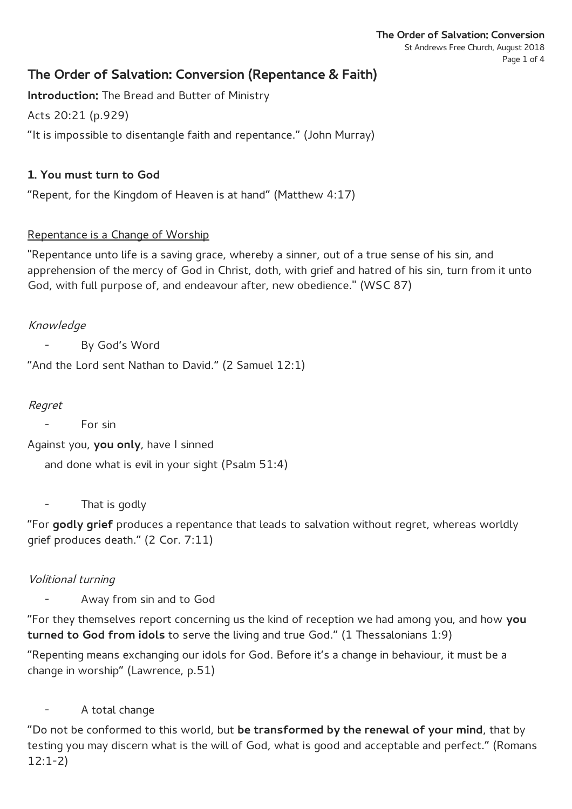# **The Order of Salvation: Conversion (Repentance & Faith)**

**Introduction:** The Bread and Butter of Ministry

Acts 20:21 (p.929)

"It is impossible to disentangle faith and repentance." (John Murray)

# **1. You must turn to God**

"Repent, for the Kingdom of Heaven is at hand" (Matthew 4:17)

# Repentance is a Change of Worship

"Repentance unto life is a saving grace, whereby a sinner, out of a true sense of his sin, and apprehension of the mercy of God in Christ, doth, with grief and hatred of his sin, turn from it unto God, with full purpose of, and endeavour after, new obedience." (WSC 87)

# Knowledge

By God's Word

"And the Lord sent Nathan to David." (2 Samuel 12:1)

# Regret

For sin

Against you, **you only**, have I sinned

and done what is evil in your sight (Psalm 51:4)

That is godly

"For **godly grief** produces a repentance that leads to salvation without regret, whereas worldly grief produces death." (2 Cor. 7:11)

# Volitional turning

- Away from sin and to God

"For they themselves report concerning us the kind of reception we had among you, and how **you turned to God from idols** to serve the living and true God." (1 Thessalonians 1:9)

"Repenting means exchanging our idols for God. Before it's a change in behaviour, it must be a change in worship" (Lawrence, p.51)

A total change

"Do not be conformed to this world, but **be transformed by the renewal of your mind**, that by testing you may discern what is the will of God, what is good and acceptable and perfect." (Romans 12:1-2)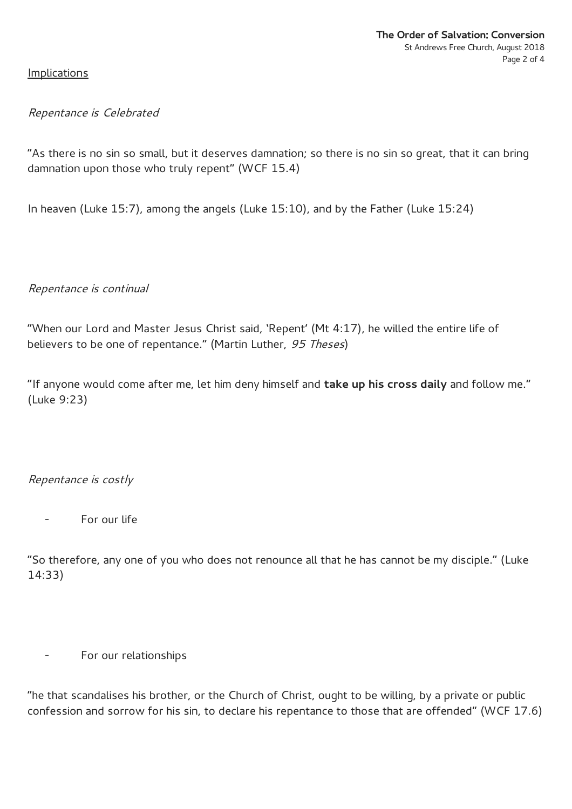**Implications** 

### Repentance is Celebrated

"As there is no sin so small, but it deserves damnation; so there is no sin so great, that it can bring damnation upon those who truly repent" (WCF 15.4)

In heaven (Luke 15:7), among the angels (Luke 15:10), and by the Father (Luke 15:24)

### Repentance is continual

"When our Lord and Master Jesus Christ said, 'Repent' (Mt 4:17), he willed the entire life of believers to be one of repentance." (Martin Luther, 95 Theses)

"If anyone would come after me, let him deny himself and **take up his cross daily** and follow me." (Luke 9:23)

### Repentance is costly

For our life

"So therefore, any one of you who does not renounce all that he has cannot be my disciple." (Luke 14:33)

- For our relationships

"he that scandalises his brother, or the Church of Christ, ought to be willing, by a private or public confession and sorrow for his sin, to declare his repentance to those that are offended" (WCF 17.6)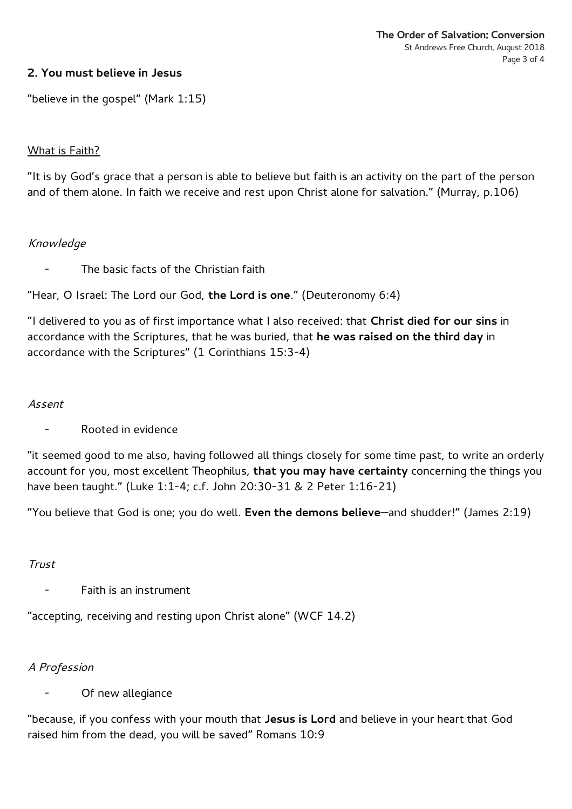### **2. You must believe in Jesus**

"believe in the gospel" (Mark 1:15)

### What is Faith?

"It is by God's grace that a person is able to believe but faith is an activity on the part of the person and of them alone. In faith we receive and rest upon Christ alone for salvation." (Murray, p.106)

### Knowledge

The basic facts of the Christian faith

"Hear, O Israel: The Lord our God, **the Lord is one**." (Deuteronomy 6:4)

"I delivered to you as of first importance what I also received: that **Christ died for our sins** in accordance with the Scriptures, that he was buried, that **he was raised on the third day** in accordance with the Scriptures" (1 Corinthians 15:3-4)

#### Assent

- Rooted in evidence

"it seemed good to me also, having followed all things closely for some time past, to write an orderly account for you, most excellent Theophilus, **that you may have certainty** concerning the things you have been taught." (Luke 1:1-4; c.f. John 20:30-31 & 2 Peter 1:16-21)

"You believe that God is one; you do well. **Even the demons believe**—and shudder!" (James 2:19)

#### Trust

- Faith is an instrument

"accepting, receiving and resting upon Christ alone" (WCF 14.2)

#### A Profession

Of new allegiance

"because, if you confess with your mouth that **Jesus is Lord** and believe in your heart that God raised him from the dead, you will be saved" Romans 10:9